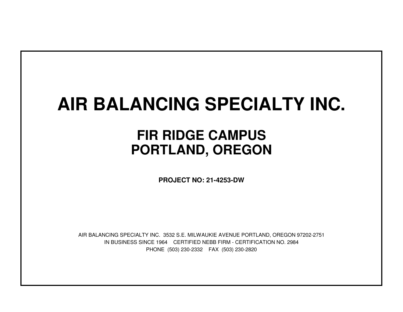# **AIR BALANCING SPECIALTY INC.**

## **FIR RIDGE CAMPUSPORTLAND, OREGON**

**PROJECT NO: 21-4253-DW**

IN BUSINESS SINCE 1964 CERTIFIED NEBB FIRM - CERTIFICATION NO. 2984PHONE (503) 230-2332 FAX (503) 230-2820AIR BALANCING SPECIALTY INC. 3532 S.E. MILWAUKIE AVENUE PORTLAND, OREGON 97202-2751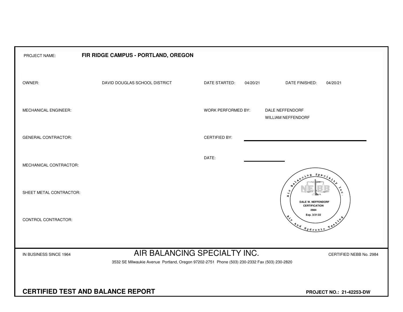| PROJECT NAME:              | FIR RIDGE CAMPUS - PORTLAND, OREGON                                                                                          |                                 |                                                                                                                                                                                                                                                                                                                                                                                                                |
|----------------------------|------------------------------------------------------------------------------------------------------------------------------|---------------------------------|----------------------------------------------------------------------------------------------------------------------------------------------------------------------------------------------------------------------------------------------------------------------------------------------------------------------------------------------------------------------------------------------------------------|
| OWNER:                     | DAVID DOUGLAS SCHOOL DISTRICT                                                                                                | DATE STARTED:                   | 04/20/21<br>DATE FINISHED:<br>04/20/21                                                                                                                                                                                                                                                                                                                                                                         |
| MECHANICAL ENGINEER:       |                                                                                                                              | WORK PERFORMED BY:              | DALE NEFFENDORF<br><b>WILLIAM NEFFENDORF</b>                                                                                                                                                                                                                                                                                                                                                                   |
| <b>GENERAL CONTRACTOR:</b> |                                                                                                                              | <b>CERTIFIED BY:</b>            |                                                                                                                                                                                                                                                                                                                                                                                                                |
| MECHANICAL CONTRACTOR:     |                                                                                                                              | DATE:                           |                                                                                                                                                                                                                                                                                                                                                                                                                |
| SHEET METAL CONTRACTOR:    |                                                                                                                              |                                 | $S_{PQ}$<br>ы<br>Æ.<br><b>DALE W. NEFFENDORF</b><br><b>CERTIFICATION</b>                                                                                                                                                                                                                                                                                                                                       |
| CONTROL CONTRACTOR:        |                                                                                                                              |                                 | 2984<br>Exp. 3/31/22<br>Resilie<br>$\begin{picture}(180,10) \put(0,0){\vector(1,0){10}} \put(15,0){\vector(1,0){10}} \put(15,0){\vector(1,0){10}} \put(15,0){\vector(1,0){10}} \put(15,0){\vector(1,0){10}} \put(15,0){\vector(1,0){10}} \put(15,0){\vector(1,0){10}} \put(15,0){\vector(1,0){10}} \put(15,0){\vector(1,0){10}} \put(15,0){\vector(1,0){10}} \put(15,0){\vector(1,0){10}} \put(15,0){\vector($ |
|                            |                                                                                                                              |                                 |                                                                                                                                                                                                                                                                                                                                                                                                                |
| IN BUSINESS SINCE 1964     | AIR BALANCING SPECIALTY INC.<br>3532 SE Milwaukie Avenue Portland, Oregon 97202-2751 Phone (503) 230-2332 Fax (503) 230-2820 |                                 | CERTIFIED NEBB No. 2984                                                                                                                                                                                                                                                                                                                                                                                        |
|                            |                                                                                                                              |                                 |                                                                                                                                                                                                                                                                                                                                                                                                                |
|                            | <b>CERTIFIED TEST AND BALANCE REPORT</b>                                                                                     | <b>PROJECT NO.: 21-42253-DW</b> |                                                                                                                                                                                                                                                                                                                                                                                                                |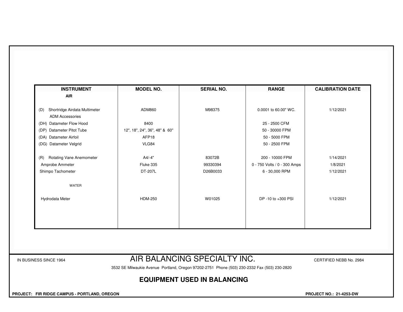| <b>INSTRUMENT</b><br><b>AIR</b>                                | <b>MODEL NO.</b>              | <b>SERIAL NO.</b>            | <b>RANGE</b>                 | <b>CALIBRATION DATE</b> |
|----------------------------------------------------------------|-------------------------------|------------------------------|------------------------------|-------------------------|
|                                                                |                               |                              |                              |                         |
| Shortridge Airdata Multimeter<br>(D)<br><b>ADM Accessories</b> | ADM860                        | M98375                       | 0.0001 to 60.00" WC.         | 1/12/2021               |
| (DH) Datameter Flow Hood                                       | 8400                          |                              | 25 - 2500 CFM                |                         |
| (DP) Datameter Pitot Tube                                      | 12", 18", 24", 36", 48" & 60" |                              | 50 - 30000 FPM               |                         |
| (DA) Datameter Airfoil                                         | AFP18                         |                              | 50 - 5000 FPM                |                         |
| (DG) Datameter Velgrid                                         | VLG84                         |                              | 50 - 2500 FPM                |                         |
| <b>Rotating Vane Anemometer</b><br>(R)                         | A4/-4"                        | 83072B                       | 200 - 10000 FPM              | 1/14/2021               |
| Amprobe Ammeter                                                | Fluke 335                     | 99330394                     | 0 - 750 Volts / 0 - 300 Amps | 1/8/2021                |
| Shimpo Tachometer                                              | DT-207L                       | D26B0033                     | 6 - 30,000 RPM               | 1/12/2021               |
| WATER                                                          |                               |                              |                              |                         |
| Hydrodata Meter                                                | <b>HDM-250</b>                | W01025                       | DP -10 to +300 PSI           | 1/12/2021               |
|                                                                |                               |                              |                              |                         |
|                                                                |                               |                              |                              |                         |
|                                                                |                               |                              |                              |                         |
|                                                                |                               |                              |                              |                         |
| IN BUSINESS SINCE 1964                                         |                               | AIR BALANCING SPECIALTY INC. |                              | CERTIFIED NEBB No. 2984 |

3532 SE Milwaukie Avenue Portland, Oregon 97202-2751 Phone (503) 230-2332 Fax (503) 230-2820

## **EQUIPMENT USED IN BALANCING**

 **PROJECT: FIR RIDGE CAMPUS - PORTLAND, OREGON PROJECT NO.: 21-4253-DW**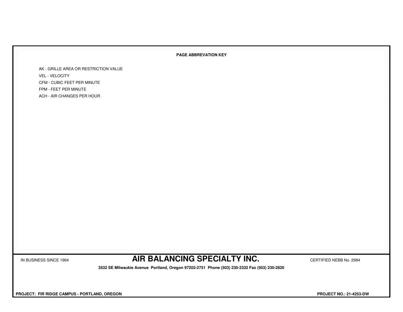### **PAGE ABBREVATION KEY**

AK - GRILLE AREA OR RESTRICTION VALUEVEL - VELOCITY CFM - CUBIC FEET PER MINUTEFPM - FEET PER MINUTEACH - AIR CHANGES PER HOUR

IN BUSINESS SINCE 1964 **AIR BALANCING SPECIALTY INC.** CERTIFIED NEBB No. 2984

 **3532 SE Milwaukie Avenue Portland, Oregon 97202-2751 Phone (503) 230-2332 Fax (503) 230-2820**

 **PROJECT: FIR RIDGE CAMPUS - PORTLAND, OREGON PROJECT NO.: 21-4253-DW**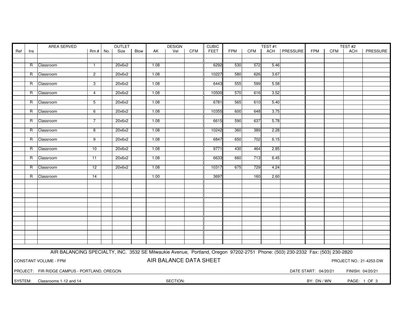|         |                | AREA SERVED                                                                                                                   |                |     | OUTLET |      |      | <b>DESIGN</b>          |            | <b>CUBIC</b> |            |            | TEST#1 |          |                      |            | TEST#2           |                         |
|---------|----------------|-------------------------------------------------------------------------------------------------------------------------------|----------------|-----|--------|------|------|------------------------|------------|--------------|------------|------------|--------|----------|----------------------|------------|------------------|-------------------------|
| Ref     | Ins            |                                                                                                                               | Rm.#           | No. | Size   | Blow | AK   | Vel                    | <b>CFM</b> | FEET         | <b>FPM</b> | <b>CFM</b> | ACH    | PRESSURE | <b>FPM</b>           | <b>CFM</b> | <b>ACH</b>       | PRESSURE                |
|         |                |                                                                                                                               |                |     |        |      |      |                        |            |              |            |            |        |          |                      |            |                  |                         |
|         | R.             | Classroom                                                                                                                     | $\mathbf{1}$   |     | 20x6x2 |      | 1.08 |                        |            | 6292         | 530        | 572        | 5.46   |          |                      |            |                  |                         |
|         |                |                                                                                                                               |                |     |        |      |      |                        |            |              |            |            |        |          |                      |            |                  |                         |
|         | R.             | Classroom                                                                                                                     | $\overline{2}$ |     | 20x6x2 |      | 1.08 |                        |            | 10227        | 580        | 626        | 3.67   |          |                      |            |                  |                         |
|         |                |                                                                                                                               |                |     |        |      |      |                        |            |              |            |            |        |          |                      |            |                  |                         |
|         | R              | Classroom                                                                                                                     | 3              |     | 20x6x2 |      | 1.08 |                        |            | 6443         | 555        | 599        | 5.58   |          |                      |            |                  |                         |
|         | R              | Classroom                                                                                                                     | $\overline{4}$ |     | 20x6x2 |      | 1.08 |                        |            | 10500        | 570        | 616        | 3.52   |          |                      |            |                  |                         |
|         |                |                                                                                                                               |                |     |        |      |      |                        |            |              |            |            |        |          |                      |            |                  |                         |
|         | R              | Classroom                                                                                                                     | 5              |     | 20x6x2 |      | 1.08 |                        |            | 6781         | 565        | 610        | 5.40   |          |                      |            |                  |                         |
|         |                |                                                                                                                               |                |     |        |      |      |                        |            |              |            |            |        |          |                      |            |                  |                         |
|         | $\overline{R}$ | Classroom                                                                                                                     | 6              |     | 20x6x2 |      | 1.08 |                        |            | 10355        | 600        | 648        | 3.75   |          |                      |            |                  |                         |
|         | R.             | Classroom                                                                                                                     | 7              |     | 20x6x2 |      | 1.08 |                        |            | 6615         | 590        | 637        | 5.78   |          |                      |            |                  |                         |
|         |                |                                                                                                                               |                |     |        |      |      |                        |            |              |            |            |        |          |                      |            |                  |                         |
|         | R              | Classroom                                                                                                                     | 8              |     | 20x6x2 |      | 1.08 |                        |            | 10242        | 360        | 389        | 2.28   |          |                      |            |                  |                         |
|         |                |                                                                                                                               |                |     |        |      |      |                        |            |              |            |            |        |          |                      |            |                  |                         |
|         | R              | Classroom                                                                                                                     | 9              |     | 20x6x2 |      | 1.08 |                        |            | 6847         | 650        | 702        | 6.15   |          |                      |            |                  |                         |
|         | R              | Classroom                                                                                                                     | 10             |     | 20x6x2 |      | 1.08 |                        |            | 9771         | 430        | 464        | 2.85   |          |                      |            |                  |                         |
|         |                |                                                                                                                               |                |     |        |      |      |                        |            |              |            |            |        |          |                      |            |                  |                         |
|         | R              | Classroom                                                                                                                     | 11             |     | 20x6x2 |      | 1.08 |                        |            | 6633         | 660        | 713        | 6.45   |          |                      |            |                  |                         |
|         |                |                                                                                                                               |                |     |        |      |      |                        |            |              |            | 729        |        |          |                      |            |                  |                         |
|         | R              | Classroom                                                                                                                     | 12             |     | 20x6x2 |      | 1.08 |                        |            | 10317        | 675        |            | 4.24   |          |                      |            |                  |                         |
|         | R.             | Classroom                                                                                                                     | 14             |     |        |      | 1.00 |                        |            | 3697         |            | 160        | 2.60   |          |                      |            |                  |                         |
|         |                |                                                                                                                               |                |     |        |      |      |                        |            |              |            |            |        |          |                      |            |                  |                         |
|         |                |                                                                                                                               |                |     |        |      |      |                        |            |              |            |            |        |          |                      |            |                  |                         |
|         |                |                                                                                                                               |                |     |        |      |      |                        |            |              |            |            |        |          |                      |            |                  |                         |
|         |                |                                                                                                                               |                |     |        |      |      |                        |            |              |            |            |        |          |                      |            |                  |                         |
|         |                |                                                                                                                               |                |     |        |      |      |                        |            |              |            |            |        |          |                      |            |                  |                         |
|         |                |                                                                                                                               |                |     |        |      |      |                        |            |              |            |            |        |          |                      |            |                  |                         |
|         |                |                                                                                                                               |                |     |        |      |      |                        |            |              |            |            |        |          |                      |            |                  |                         |
|         |                |                                                                                                                               |                |     |        |      |      |                        |            |              |            |            |        |          |                      |            |                  |                         |
|         |                |                                                                                                                               |                |     |        |      |      |                        |            |              |            |            |        |          |                      |            |                  |                         |
|         |                |                                                                                                                               |                |     |        |      |      |                        |            |              |            |            |        |          |                      |            |                  |                         |
|         |                |                                                                                                                               |                |     |        |      |      |                        |            |              |            |            |        |          |                      |            |                  |                         |
|         |                |                                                                                                                               |                |     |        |      |      |                        |            |              |            |            |        |          |                      |            |                  |                         |
|         |                |                                                                                                                               |                |     |        |      |      |                        |            |              |            |            |        |          |                      |            |                  |                         |
|         |                | AIR BALANCING SPECIALTY, INC. 3532 SE Milwaukie Avenue, Portland, Oregon 97202-2751 Phone: (503) 230-2332 Fax: (503) 230-2820 |                |     |        |      |      |                        |            |              |            |            |        |          |                      |            |                  |                         |
|         |                | CONSTANT VOLUME - FPM                                                                                                         |                |     |        |      |      | AIR BALANCE DATA SHEET |            |              |            |            |        |          |                      |            |                  | PROJECT NO.: 21-4253-DW |
|         |                |                                                                                                                               |                |     |        |      |      |                        |            |              |            |            |        |          |                      |            |                  |                         |
|         |                | PROJECT: FIR RIDGE CAMPUS - PORTLAND, OREGON                                                                                  |                |     |        |      |      |                        |            |              |            |            |        |          | DATE START: 04/20/21 |            | FINISH: 04/20/21 |                         |
|         |                |                                                                                                                               |                |     |        |      |      |                        |            |              |            |            |        |          |                      |            |                  |                         |
| SYSTEM: |                | Classrooms 1-12 and 14                                                                                                        |                |     |        |      |      | SECTION:               |            |              |            |            |        |          | BY: DN / WN          |            | PAGE: 1 OF 3     |                         |
|         |                |                                                                                                                               |                |     |        |      |      |                        |            |              |            |            |        |          |                      |            |                  |                         |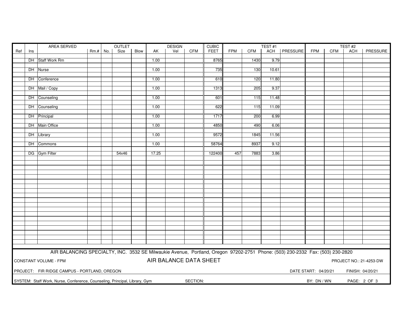|     |     | OUTLET<br>AREA SERVED                                                                                                         |          |  |       | <b>DESIGN</b> |       | <b>CUBIC</b>           |            |             | TEST#1     |      | TEST <sub>#2</sub> |                |                      |     |                  |                         |
|-----|-----|-------------------------------------------------------------------------------------------------------------------------------|----------|--|-------|---------------|-------|------------------------|------------|-------------|------------|------|--------------------|----------------|----------------------|-----|------------------|-------------------------|
| Ref | Ins |                                                                                                                               | Rm.# No. |  | Size  | Blow          | AK    | Vel                    | <b>CFM</b> | <b>FEET</b> | <b>FPM</b> | CFM  |                    | ACH   PRESSURE | <b>FPM</b>           | CFM | <b>ACH</b>       | PRESSURE                |
|     |     |                                                                                                                               |          |  |       |               |       |                        |            |             |            |      |                    |                |                      |     |                  |                         |
|     |     | DH Staff Work Rm                                                                                                              |          |  |       |               | 1.00  |                        |            | 8765        |            | 1430 | 9.79               |                |                      |     |                  |                         |
|     |     |                                                                                                                               |          |  |       |               |       |                        |            |             |            |      |                    |                |                      |     |                  |                         |
|     |     | DH Nurse                                                                                                                      |          |  |       |               | 1.00  |                        |            | 735         |            | 130  | 10.61              |                |                      |     |                  |                         |
|     |     |                                                                                                                               |          |  |       |               |       |                        |            |             |            |      |                    |                |                      |     |                  |                         |
|     |     | DH Conference                                                                                                                 |          |  |       |               | 1.00  |                        |            | 610         |            | 120  | 11.80              |                |                      |     |                  |                         |
|     |     |                                                                                                                               |          |  |       |               |       |                        |            |             |            |      |                    |                |                      |     |                  |                         |
|     |     | DH Mail / Copy                                                                                                                |          |  |       |               | 1.00  |                        |            | 1313        |            | 205  | 9.37               |                |                      |     |                  |                         |
|     |     |                                                                                                                               |          |  |       |               |       |                        |            |             |            |      |                    |                |                      |     |                  |                         |
|     |     | DH Counseling                                                                                                                 |          |  |       |               | 1.00  |                        |            | 601         |            | 115  | 11.48              |                |                      |     |                  |                         |
|     |     |                                                                                                                               |          |  |       |               |       |                        |            |             |            |      |                    |                |                      |     |                  |                         |
|     |     | DH Counseling                                                                                                                 |          |  |       |               | 1.00  |                        |            | 622         |            | 115  | 11.09              |                |                      |     |                  |                         |
|     |     |                                                                                                                               |          |  |       |               |       |                        |            |             |            |      |                    |                |                      |     |                  |                         |
|     |     | DH Principal                                                                                                                  |          |  |       |               | 1.00  |                        |            | 1717        |            | 200  | 6.99               |                |                      |     |                  |                         |
|     |     |                                                                                                                               |          |  |       |               |       |                        |            |             |            |      |                    |                |                      |     |                  |                         |
|     |     | DH Main Office                                                                                                                |          |  |       |               | 1.00  |                        |            | 4850        |            | 490  | 6.06               |                |                      |     |                  |                         |
|     |     |                                                                                                                               |          |  |       |               |       |                        |            |             |            |      |                    |                |                      |     |                  |                         |
|     |     | DH Library                                                                                                                    |          |  |       |               | 1.00  |                        |            | 9572        |            | 1845 | 11.56              |                |                      |     |                  |                         |
|     |     |                                                                                                                               |          |  |       |               |       |                        |            |             |            |      |                    |                |                      |     |                  |                         |
|     |     | DH Commons                                                                                                                    |          |  |       |               | 1.00  |                        |            | 58764       |            | 8937 | 9.12               |                |                      |     |                  |                         |
|     |     |                                                                                                                               |          |  |       |               |       |                        |            |             |            |      |                    |                |                      |     |                  |                         |
|     |     | DG Gym Filter                                                                                                                 |          |  | 54x46 |               | 17.25 |                        |            | 122400      | 457        | 7883 | 3.86               |                |                      |     |                  |                         |
|     |     |                                                                                                                               |          |  |       |               |       |                        |            |             |            |      |                    |                |                      |     |                  |                         |
|     |     |                                                                                                                               |          |  |       |               |       |                        |            |             |            |      |                    |                |                      |     |                  |                         |
|     |     |                                                                                                                               |          |  |       |               |       |                        |            |             |            |      |                    |                |                      |     |                  |                         |
|     |     |                                                                                                                               |          |  |       |               |       |                        |            |             |            |      |                    |                |                      |     |                  |                         |
|     |     |                                                                                                                               |          |  |       |               |       |                        |            |             |            |      |                    |                |                      |     |                  |                         |
|     |     |                                                                                                                               |          |  |       |               |       |                        |            |             |            |      |                    |                |                      |     |                  |                         |
|     |     |                                                                                                                               |          |  |       |               |       |                        |            |             |            |      |                    |                |                      |     |                  |                         |
|     |     |                                                                                                                               |          |  |       |               |       |                        |            |             |            |      |                    |                |                      |     |                  |                         |
|     |     |                                                                                                                               |          |  |       |               |       |                        |            |             |            |      |                    |                |                      |     |                  |                         |
|     |     |                                                                                                                               |          |  |       |               |       |                        |            |             |            |      |                    |                |                      |     |                  |                         |
|     |     |                                                                                                                               |          |  |       |               |       |                        |            |             |            |      |                    |                |                      |     |                  |                         |
|     |     |                                                                                                                               |          |  |       |               |       |                        |            |             |            |      |                    |                |                      |     |                  |                         |
|     |     |                                                                                                                               |          |  |       |               |       |                        |            |             |            |      |                    |                |                      |     |                  |                         |
|     |     |                                                                                                                               |          |  |       |               |       |                        |            |             |            |      |                    |                |                      |     |                  |                         |
|     |     |                                                                                                                               |          |  |       |               |       |                        |            |             |            |      |                    |                |                      |     |                  |                         |
|     |     |                                                                                                                               |          |  |       |               |       |                        |            |             |            |      |                    |                |                      |     |                  |                         |
|     |     |                                                                                                                               |          |  |       |               |       |                        |            |             |            |      |                    |                |                      |     |                  |                         |
|     |     |                                                                                                                               |          |  |       |               |       |                        |            |             |            |      |                    |                |                      |     |                  |                         |
|     |     |                                                                                                                               |          |  |       |               |       |                        |            |             |            |      |                    |                |                      |     |                  |                         |
|     |     |                                                                                                                               |          |  |       |               |       |                        |            |             |            |      |                    |                |                      |     |                  |                         |
|     |     | AIR BALANCING SPECIALTY, INC. 3532 SE Milwaukie Avenue, Portland, Oregon 97202-2751 Phone: (503) 230-2332 Fax: (503) 230-2820 |          |  |       |               |       |                        |            |             |            |      |                    |                |                      |     |                  |                         |
|     |     | <b>CONSTANT VOLUME - FPM</b>                                                                                                  |          |  |       |               |       | AIR BALANCE DATA SHEET |            |             |            |      |                    |                |                      |     |                  | PROJECT NO.: 21-4253-DW |
|     |     |                                                                                                                               |          |  |       |               |       |                        |            |             |            |      |                    |                |                      |     |                  |                         |
|     |     |                                                                                                                               |          |  |       |               |       |                        |            |             |            |      |                    |                |                      |     |                  |                         |
|     |     | PROJECT: FIR RIDGE CAMPUS - PORTLAND, OREGON                                                                                  |          |  |       |               |       |                        |            |             |            |      |                    |                | DATE START: 04/20/21 |     | FINISH: 04/20/21 |                         |
|     |     |                                                                                                                               |          |  |       |               |       |                        |            |             |            |      |                    |                |                      |     |                  |                         |
|     |     | SYSTEM: Staff Work, Nurse, Conference, Counseling, Principal, Library, Gym                                                    |          |  |       |               |       |                        | SECTION:   |             |            |      |                    |                | BY: DN / WN          |     |                  | PAGE: 2 OF 3            |
|     |     |                                                                                                                               |          |  |       |               |       |                        |            |             |            |      |                    |                |                      |     |                  |                         |